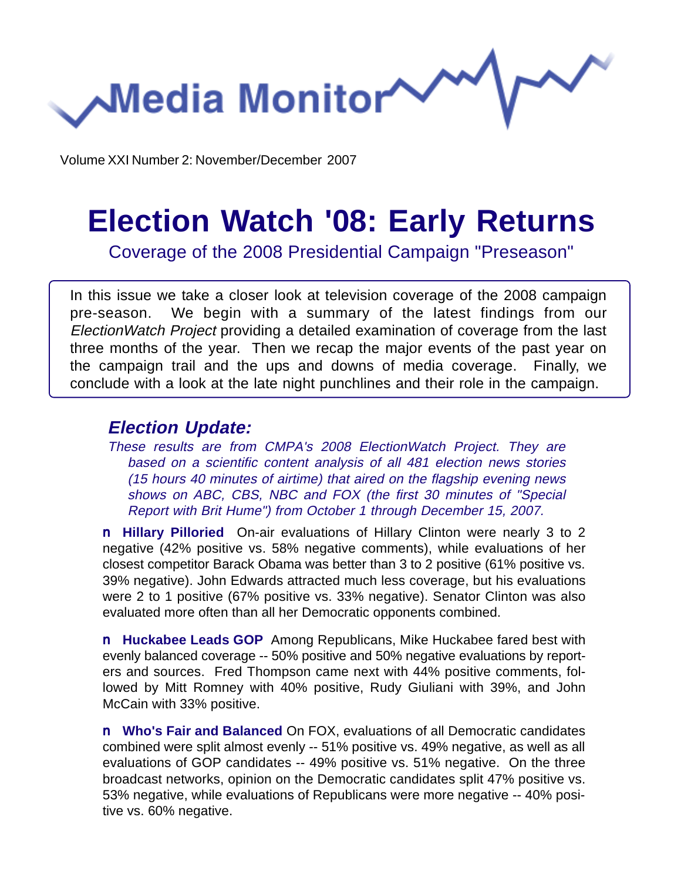**Media Monitor** 

Volume XXI Number 2: November/December 2007

# **Election Watch '08: Early Returns**

Coverage of the 2008 Presidential Campaign "Preseason"

In this issue we take a closer look at television coverage of the 2008 campaign pre-season. We begin with a summary of the latest findings from our ElectionWatch Project providing a detailed examination of coverage from the last three months of the year. Then we recap the major events of the past year on the campaign trail and the ups and downs of media coverage. Finally, we conclude with a look at the late night punchlines and their role in the campaign.

#### **Election Update:**

These results are from CMPA's 2008 ElectionWatch Project. They are based on a scientific content analysis of all 481 election news stories (15 hours 40 minutes of airtime) that aired on the flagship evening news shows on ABC, CBS, NBC and FOX (the first 30 minutes of "Special Report with Brit Hume") from October 1 through December 15, 2007.

n **Hillary Pilloried** On-air evaluations of Hillary Clinton were nearly 3 to 2 negative (42% positive vs. 58% negative comments), while evaluations of her closest competitor Barack Obama was better than 3 to 2 positive (61% positive vs. 39% negative). John Edwards attracted much less coverage, but his evaluations were 2 to 1 positive (67% positive vs. 33% negative). Senator Clinton was also evaluated more often than all her Democratic opponents combined.

n **Huckabee Leads GOP** Among Republicans, Mike Huckabee fared best with evenly balanced coverage -- 50% positive and 50% negative evaluations by reporters and sources. Fred Thompson came next with 44% positive comments, followed by Mitt Romney with 40% positive, Rudy Giuliani with 39%, and John McCain with 33% positive.

n **Who's Fair and Balanced** On FOX, evaluations of all Democratic candidates combined were split almost evenly -- 51% positive vs. 49% negative, as well as all evaluations of GOP candidates -- 49% positive vs. 51% negative. On the three broadcast networks, opinion on the Democratic candidates split 47% positive vs. 53% negative, while evaluations of Republicans were more negative -- 40% positive vs. 60% negative.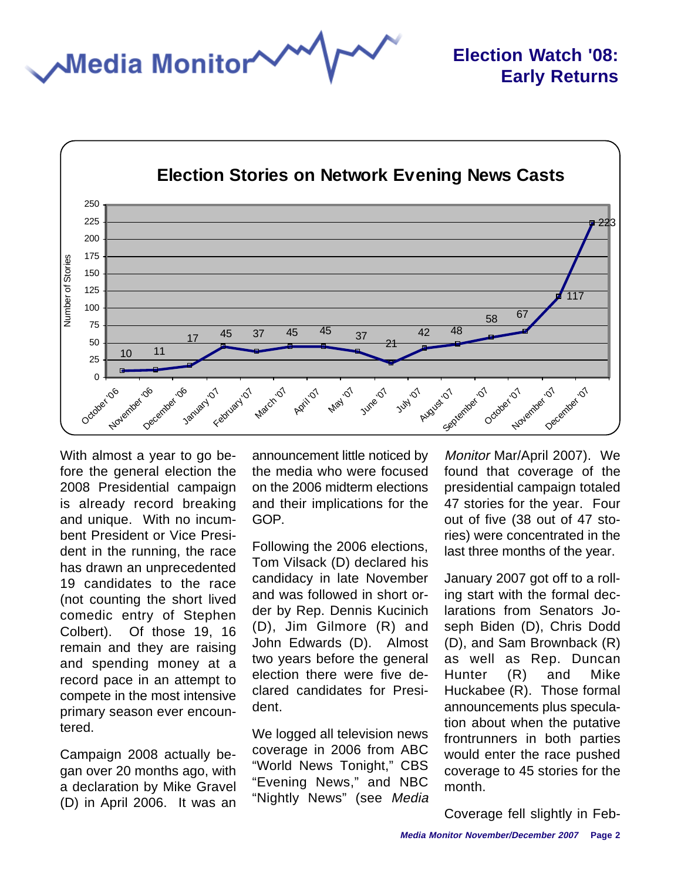**Media Monitor** 



With almost a year to go before the general election the 2008 Presidential campaign is already record breaking and unique. With no incumbent President or Vice President in the running, the race has drawn an unprecedented 19 candidates to the race (not counting the short lived comedic entry of Stephen Colbert). Of those 19, 16 remain and they are raising and spending money at a record pace in an attempt to compete in the most intensive primary season ever encountered.

Campaign 2008 actually began over 20 months ago, with a declaration by Mike Gravel (D) in April 2006. It was an

announcement little noticed by the media who were focused on the 2006 midterm elections and their implications for the GOP.

Following the 2006 elections, Tom Vilsack (D) declared his candidacy in late November and was followed in short order by Rep. Dennis Kucinich (D), Jim Gilmore (R) and John Edwards (D). Almost two years before the general election there were five declared candidates for President.

We logged all television news coverage in 2006 from ABC "World News Tonight," CBS "Evening News," and NBC "Nightly News" (see Media Monitor Mar/April 2007). We found that coverage of the presidential campaign totaled 47 stories for the year. Four out of five (38 out of 47 stories) were concentrated in the last three months of the year.

January 2007 got off to a rolling start with the formal declarations from Senators Joseph Biden (D), Chris Dodd (D), and Sam Brownback (R) as well as Rep. Duncan Hunter (R) and Mike Huckabee (R). Those formal announcements plus speculation about when the putative frontrunners in both parties would enter the race pushed coverage to 45 stories for the month.

Coverage fell slightly in Feb-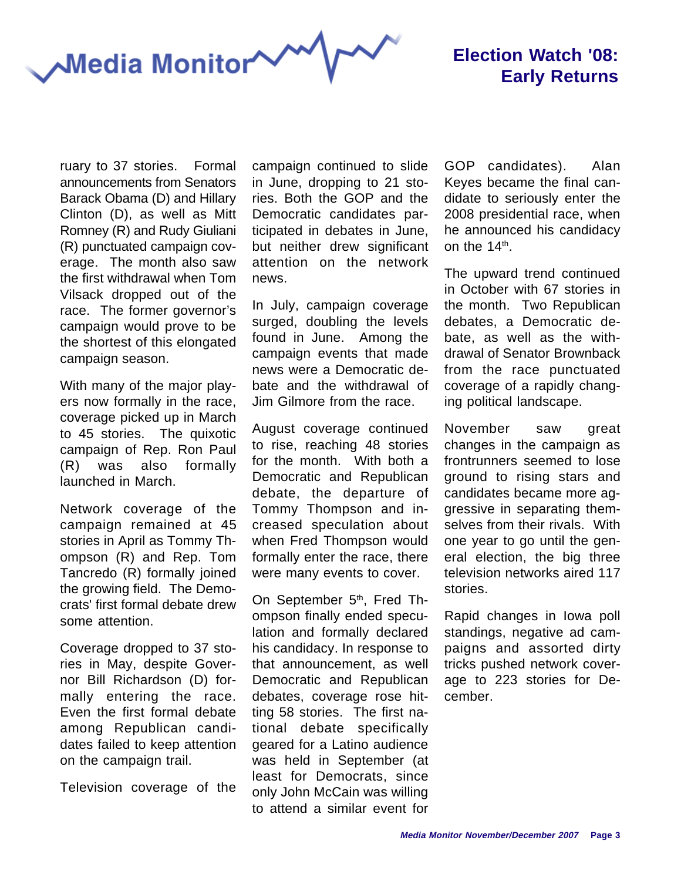**Media Monitor** 

### **Election Watch '08: Early Returns**

ruary to 37 stories. Formal announcements from Senators Barack Obama (D) and Hillary Clinton (D), as well as Mitt Romney (R) and Rudy Giuliani (R) punctuated campaign coverage. The month also saw the first withdrawal when Tom Vilsack dropped out of the race. The former governor's campaign would prove to be the shortest of this elongated campaign season.

With many of the major players now formally in the race, coverage picked up in March to 45 stories. The quixotic campaign of Rep. Ron Paul (R) was also formally launched in March.

Network coverage of the campaign remained at 45 stories in April as Tommy Thompson (R) and Rep. Tom Tancredo (R) formally joined the growing field. The Democrats' first formal debate drew some attention.

Coverage dropped to 37 stories in May, despite Governor Bill Richardson (D) formally entering the race. Even the first formal debate among Republican candidates failed to keep attention on the campaign trail.

Television coverage of the

campaign continued to slide in June, dropping to 21 stories. Both the GOP and the Democratic candidates participated in debates in June, but neither drew significant attention on the network news.

In July, campaign coverage surged, doubling the levels found in June. Among the campaign events that made news were a Democratic debate and the withdrawal of Jim Gilmore from the race.

August coverage continued to rise, reaching 48 stories for the month. With both a Democratic and Republican debate, the departure of Tommy Thompson and increased speculation about when Fred Thompson would formally enter the race, there were many events to cover.

On September 5<sup>th</sup>, Fred Thompson finally ended speculation and formally declared his candidacy. In response to that announcement, as well Democratic and Republican debates, coverage rose hitting 58 stories. The first national debate specifically geared for a Latino audience was held in September (at least for Democrats, since only John McCain was willing to attend a similar event for GOP candidates). Alan Keyes became the final candidate to seriously enter the 2008 presidential race, when he announced his candidacy on the  $14<sup>th</sup>$ .

The upward trend continued in October with 67 stories in the month. Two Republican debates, a Democratic debate, as well as the withdrawal of Senator Brownback from the race punctuated coverage of a rapidly changing political landscape.

November saw great changes in the campaign as frontrunners seemed to lose ground to rising stars and candidates became more aggressive in separating themselves from their rivals. With one year to go until the general election, the big three television networks aired 117 stories.

Rapid changes in Iowa poll standings, negative ad campaigns and assorted dirty tricks pushed network coverage to 223 stories for December.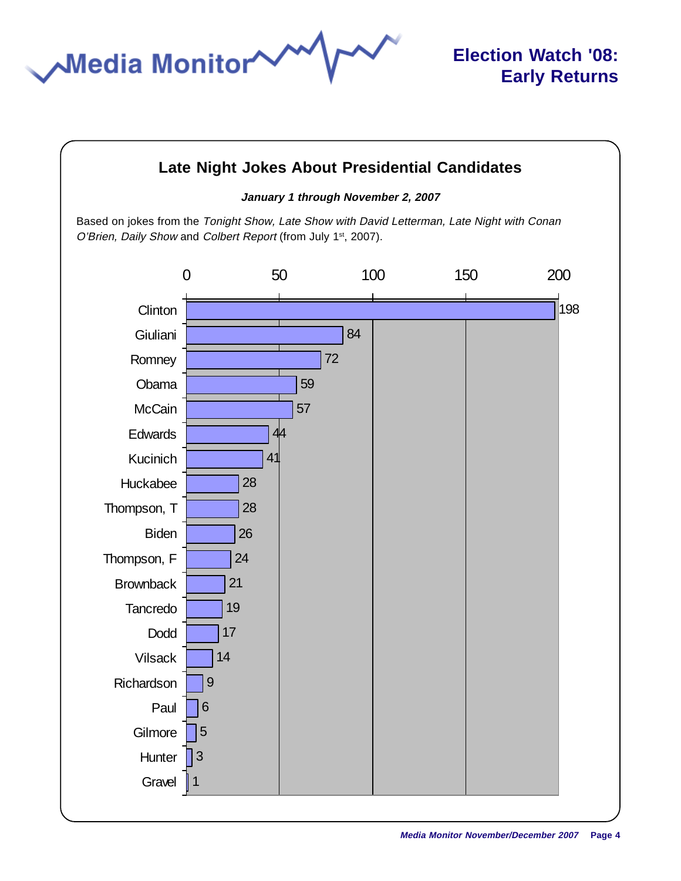

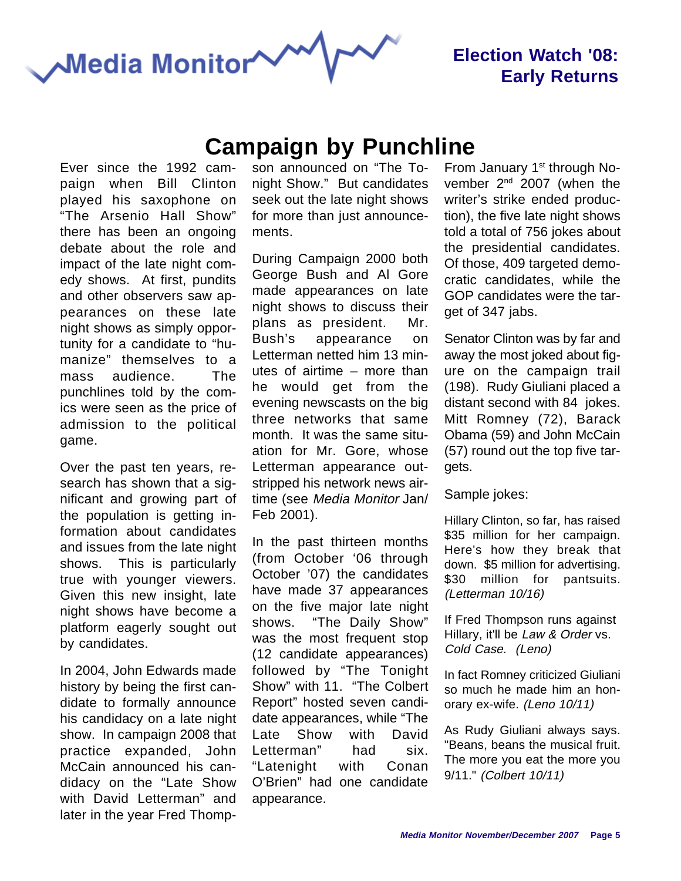

### **Election Watch '08: Early Returns**

## **Campaign by Punchline**

Ever since the 1992 campaign when Bill Clinton played his saxophone on "The Arsenio Hall Show" there has been an ongoing debate about the role and impact of the late night comedy shows. At first, pundits and other observers saw appearances on these late night shows as simply opportunity for a candidate to "humanize" themselves to a mass audience. The punchlines told by the comics were seen as the price of admission to the political game.

Over the past ten years, research has shown that a significant and growing part of the population is getting information about candidates and issues from the late night shows. This is particularly true with younger viewers. Given this new insight, late night shows have become a platform eagerly sought out by candidates.

In 2004, John Edwards made history by being the first candidate to formally announce his candidacy on a late night show. In campaign 2008 that practice expanded, John McCain announced his candidacy on the "Late Show with David Letterman" and later in the year Fred Thompson announced on "The Tonight Show." But candidates seek out the late night shows for more than just announcements.

During Campaign 2000 both George Bush and Al Gore made appearances on late night shows to discuss their plans as president. Mr. Bush's appearance on Letterman netted him 13 minutes of airtime – more than he would get from the evening newscasts on the big three networks that same month. It was the same situation for Mr. Gore, whose Letterman appearance outstripped his network news airtime (see Media Monitor Jan/ Feb 2001).

In the past thirteen months (from October '06 through October '07) the candidates have made 37 appearances on the five major late night shows. "The Daily Show" was the most frequent stop (12 candidate appearances) followed by "The Tonight Show" with 11. "The Colbert Report" hosted seven candidate appearances, while "The Late Show with David Letterman" had six. "Latenight with Conan O'Brien" had one candidate appearance.

From January 1<sup>st</sup> through November 2<sup>nd</sup> 2007 (when the writer's strike ended production), the five late night shows told a total of 756 jokes about the presidential candidates. Of those, 409 targeted democratic candidates, while the GOP candidates were the target of 347 jabs.

Senator Clinton was by far and away the most joked about figure on the campaign trail (198). Rudy Giuliani placed a distant second with 84 jokes. Mitt Romney (72), Barack Obama (59) and John McCain (57) round out the top five targets.

Sample jokes:

Hillary Clinton, so far, has raised \$35 million for her campaign. Here's how they break that down. \$5 million for advertising. \$30 million for pantsuits. (Letterman 10/16)

If Fred Thompson runs against Hillary, it'll be Law & Order vs. Cold Case. (Leno)

In fact Romney criticized Giuliani so much he made him an honorary ex-wife. (Leno 10/11)

As Rudy Giuliani always says. "Beans, beans the musical fruit. The more you eat the more you 9/11." (Colbert 10/11)